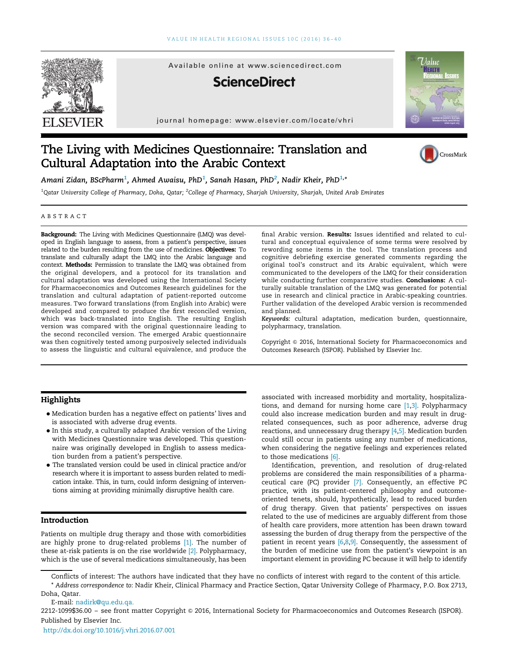

# The Living with Medicines Questionnaire: Translation and Cultural Adaptation into the Arabic Context



Amani Zidan, BScPharm $^1$ , Ahmed Awaisu, PhD $^1$ , Sanah Hasan, PhD $^2$ , Nadir Kheir, PhD $^{1,\ast}$ 

 $^1$ Qatar University College of Pharmacy, Doha, Qatar;  $^2$ College of Pharmacy, Sharjah University, Sharjah, United Arab Emirates

#### ABSTRACT

Background: The Living with Medicines Questionnaire (LMQ) was developed in English language to assess, from a patient's perspective, issues related to the burden resulting from the use of medicines. Objectives: To translate and culturally adapt the LMQ into the Arabic language and context. Methods: Permission to translate the LMQ was obtained from the original developers, and a protocol for its translation and cultural adaptation was developed using the International Society for Pharmacoeconomics and Outcomes Research guidelines for the translation and cultural adaptation of patient-reported outcome measures. Two forward translations (from English into Arabic) were developed and compared to produce the first reconciled version, which was back-translated into English. The resulting English version was compared with the original questionnaire leading to the second reconciled version. The emerged Arabic questionnaire was then cognitively tested among purposively selected individuals to assess the linguistic and cultural equivalence, and produce the

## **Highlights**

- Medication burden has a negative effect on patients' lives and is associated with adverse drug events.
- In this study, a culturally adapted Arabic version of the Living with Medicines Questionnaire was developed. This questionnaire was originally developed in English to assess medication burden from a patient's perspective.
- The translated version could be used in clinical practice and/or research where it is important to assess burden related to medication intake. This, in turn, could inform designing of interventions aiming at providing minimally disruptive health care.

# Introduction

Patients on multiple drug therapy and those with comorbidities are highly prone to drug-related problems [1]. The number of these at-risk patients is on the rise worldwide [2]. Polypharmacy, which is the use of several medications simultaneously, has been

final Arabic version. Results: Issues identified and related to cultural and conceptual equivalence of some terms were resolved by rewording some items in the tool. The translation process and cognitive debriefing exercise generated comments regarding the original tool's construct and its Arabic equivalent, which were communicated to the developers of the LMQ for their consideration while conducting further comparative studies. Conclusions: A culturally suitable translation of the LMQ was generated for potential use in research and clinical practice in Arabic-speaking countries. Further validation of the developed Arabic version is recommended and planned.

Keywords: cultural adaptation, medication burden, questionnaire, polypharmacy, translation.

Copyright © 2016, International Society for Pharmacoeconomics and Outcomes Research (ISPOR). Published by Elsevier Inc.

associated with increased morbidity and mortality, hospitalizations, and demand for nursing home care  $[1,3]$ . Polypharmacy could also increase medication burden and may result in drugrelated consequences, such as poor adherence, adverse drug reactions, and unnecessary drug therapy [4,5]. Medication burden could still occur in patients using any number of medications, when considering the negative feelings and experiences related to those medications [6].

Identification, prevention, and resolution of drug-related problems are considered the main responsibilities of a pharmaceutical care (PC) provider [7]. Consequently, an effective PC practice, with its patient-centered philosophy and outcomeoriented tenets, should, hypothetically, lead to reduced burden of drug therapy. Given that patients' perspectives on issues related to the use of medicines are arguably different from those of health care providers, more attention has been drawn toward assessing the burden of drug therapy from the perspective of the patient in recent years [6,8,9]. Consequently, the assessment of the burden of medicine use from the patient's viewpoint is an important element in providing PC because it will help to identify

Conflicts of interest: The authors have indicated that they have no conflicts of interest with regard to the content of this article. \* Address correspondence to: Nadir Kheir, Clinical Pharmacy and Practice Section, Qatar University College of Pharmacy, P.O. Box 2713, Doha, Qatar.

E-mail: nadirk@qu.edu.qa.

2212-1099\$36.00 - see front matter Copyright © 2016, International Society for Pharmacoeconomics and Outcomes Research (ISPOR). Published by Elsevier Inc.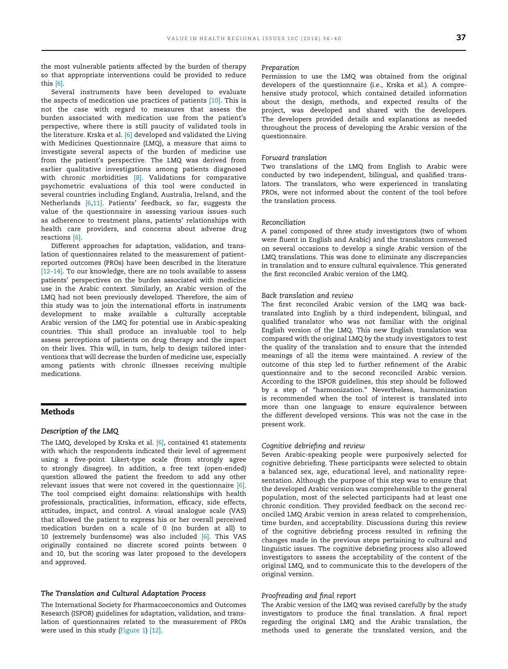the most vulnerable patients affected by the burden of therapy so that appropriate interventions could be provided to reduce this [6].

Several instruments have been developed to evaluate the aspects of medication use practices of patients [10]. This is not the case with regard to measures that assess the burden associated with medication use from the patient's perspective, where there is still paucity of validated tools in the literature. Krska et al. [6] developed and validated the Living with Medicines Questionnaire (LMQ), a measure that aims to investigate several aspects of the burden of medicine use from the patient's perspective. The LMQ was derived from earlier qualitative investigations among patients diagnosed with chronic morbidities [8]. Validations for comparative psychometric evaluations of this tool were conducted in several countries including England, Australia, Ireland, and the Netherlands [6,11]. Patients' feedback, so far, suggests the value of the questionnaire in assessing various issues such as adherence to treatment plans, patients' relationships with health care providers, and concerns about adverse drug reactions [6].

Different approaches for adaptation, validation, and translation of questionnaires related to the measurement of patientreported outcomes (PROs) have been described in the literature [12–14]. To our knowledge, there are no tools available to assess patients' perspectives on the burden associated with medicine use in the Arabic context. Similarly, an Arabic version of the LMQ had not been previously developed. Therefore, the aim of this study was to join the international efforts in instruments development to make available a culturally acceptable Arabic version of the LMQ for potential use in Arabic-speaking countries. This shall produce an invaluable tool to help assess perceptions of patients on drug therapy and the impact on their lives. This will, in turn, help to design tailored interventions that will decrease the burden of medicine use, especially among patients with chronic illnesses receiving multiple medications.

# Methods

#### Description of the LMQ

The LMQ, developed by Krska et al. [6], contained 41 statements with which the respondents indicated their level of agreement using a five-point Likert-type scale (from strongly agree to strongly disagree). In addition, a free text (open-ended) question allowed the patient the freedom to add any other relevant issues that were not covered in the questionnaire [6]. The tool comprised eight domains: relationships with health professionals, practicalities, information, efficacy, side effects, attitudes, impact, and control. A visual analogue scale (VAS) that allowed the patient to express his or her overall perceived medication burden on a scale of 0 (no burden at all) to 10 (extremely burdensome) was also included [6]. This VAS originally contained no discrete scored points between 0 and 10, but the scoring was later proposed to the developers and approved.

# The Translation and Cultural Adaptation Process

The International Society for Pharmacoeconomics and Outcomes Research (ISPOR) guidelines for adaptation, validation, and translation of questionnaires related to the measurement of PROs were used in this study (Figure 1) [12].

#### Preparation

Permission to use the LMQ was obtained from the original developers of the questionnaire (i.e., Krska et al.). A comprehensive study protocol, which contained detailed information about the design, methods, and expected results of the project, was developed and shared with the developers. The developers provided details and explanations as needed throughout the process of developing the Arabic version of the questionnaire.

#### Forward translation

Two translations of the LMQ from English to Arabic were conducted by two independent, bilingual, and qualified translators. The translators, who were experienced in translating PROs, were not informed about the content of the tool before the translation process.

# Reconciliation

A panel composed of three study investigators (two of whom were fluent in English and Arabic) and the translators convened on several occasions to develop a single Arabic version of the LMQ translations. This was done to eliminate any discrepancies in translation and to ensure cultural equivalence. This generated the first reconciled Arabic version of the LMQ.

## Back translation and review

The first reconciled Arabic version of the LMQ was backtranslated into English by a third independent, bilingual, and qualified translator who was not familiar with the original English version of the LMQ. This new English translation was compared with the original LMQ by the study investigators to test the quality of the translation and to ensure that the intended meanings of all the items were maintained. A review of the outcome of this step led to further refinement of the Arabic questionnaire and to the second reconciled Arabic version. According to the ISPOR guidelines, this step should be followed by a step of "harmonization." Nevertheless, harmonization is recommended when the tool of interest is translated into more than one language to ensure equivalence between the different developed versions. This was not the case in the present work.

#### Cognitive debriefing and review

Seven Arabic-speaking people were purposively selected for cognitive debriefing. These participants were selected to obtain a balanced sex, age, educational level, and nationality representation. Although the purpose of this step was to ensure that the developed Arabic version was comprehensible to the general population, most of the selected participants had at least one chronic condition. They provided feedback on the second reconciled LMQ Arabic version in areas related to comprehension, time burden, and acceptability. Discussions during this review of the cognitive debriefing process resulted in refining the changes made in the previous steps pertaining to cultural and linguistic issues. The cognitive debriefing process also allowed investigators to assess the acceptability of the content of the original LMQ, and to communicate this to the developers of the original version.

# Proofreading and final report

The Arabic version of the LMQ was revised carefully by the study investigators to produce the final translation. A final report regarding the original LMQ and the Arabic translation, the methods used to generate the translated version, and the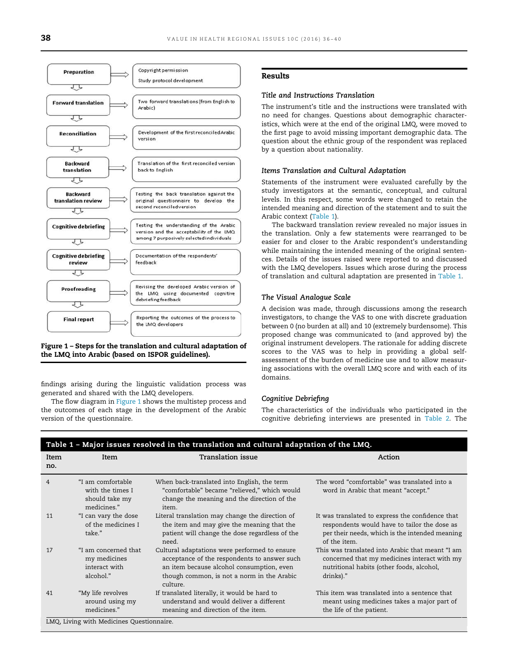

Figure 1 – Steps for the translation and cultural adaptation of the LMQ into Arabic (based on ISPOR guidelines).

findings arising during the linguistic validation process was generated and shared with the LMQ developers.

The flow diagram in Figure 1 shows the multistep process and the outcomes of each stage in the development of the Arabic version of the questionnaire.

# Results

#### Title and Instructions Translation

The instrument's title and the instructions were translated with no need for changes. Questions about demographic characteristics, which were at the end of the original LMQ, were moved to the first page to avoid missing important demographic data. The question about the ethnic group of the respondent was replaced by a question about nationality.

#### Items Translation and Cultural Adaptation

Statements of the instrument were evaluated carefully by the study investigators at the semantic, conceptual, and cultural levels. In this respect, some words were changed to retain the intended meaning and direction of the statement and to suit the Arabic context (Table 1).

The backward translation review revealed no major issues in the translation. Only a few statements were rearranged to be easier for and closer to the Arabic respondent's understanding while maintaining the intended meaning of the original sentences. Details of the issues raised were reported to and discussed with the LMQ developers. Issues which arose during the process of translation and cultural adaptation are presented in Table 1.

# The Visual Analogue Scale

A decision was made, through discussions among the research investigators, to change the VAS to one with discrete graduation between 0 (no burden at all) and 10 (extremely burdensome). This proposed change was communicated to (and approved by) the original instrument developers. The rationale for adding discrete scores to the VAS was to help in providing a global selfassessment of the burden of medicine use and to allow measuring associations with the overall LMQ score and with each of its domains.

## Cognitive Debriefing

The characteristics of the individuals who participated in the cognitive debriefing interviews are presented in Table 2. The

| Item<br>Item<br>no.                                                                                         | Translation issue<br>Action                                                                                                                                                                                                                                                                                                                            |
|-------------------------------------------------------------------------------------------------------------|--------------------------------------------------------------------------------------------------------------------------------------------------------------------------------------------------------------------------------------------------------------------------------------------------------------------------------------------------------|
| "I am comfortable<br>$\overline{4}$<br>with the times I<br>should take my<br>medicines."<br>item.           | When back-translated into English, the term<br>The word "comfortable" was translated into a<br>"comfortable" became "relieved," which would<br>word in Arabic that meant "accept."<br>change the meaning and the direction of the                                                                                                                      |
| 11<br>"I can vary the dose<br>of the medicines I<br>take."<br>need.                                         | Literal translation may change the direction of<br>It was translated to express the confidence that<br>the item and may give the meaning that the<br>respondents would have to tailor the dose as<br>patient will change the dose regardless of the<br>per their needs, which is the intended meaning<br>of the item.                                  |
| "I am concerned that<br>17<br>my medicines<br>interact with<br>alcohol."<br>culture.                        | Cultural adaptations were performed to ensure<br>This was translated into Arabic that meant "I am<br>acceptance of the respondents to answer such<br>concerned that my medicines interact with my<br>an item because alcohol consumption, even<br>nutritional habits (other foods, alcohol,<br>though common, is not a norm in the Arabic<br>drinks)." |
| "My life revolves<br>41<br>around using my<br>medicines."<br><b>IMO</b> Living with Modicines Questionnaire | This item was translated into a sentence that<br>If translated literally, it would be hard to<br>understand and would deliver a different<br>meant using medicines takes a major part of<br>the life of the patient.<br>meaning and direction of the item.                                                                                             |

LMQ, Living with Medicines Questionnaire.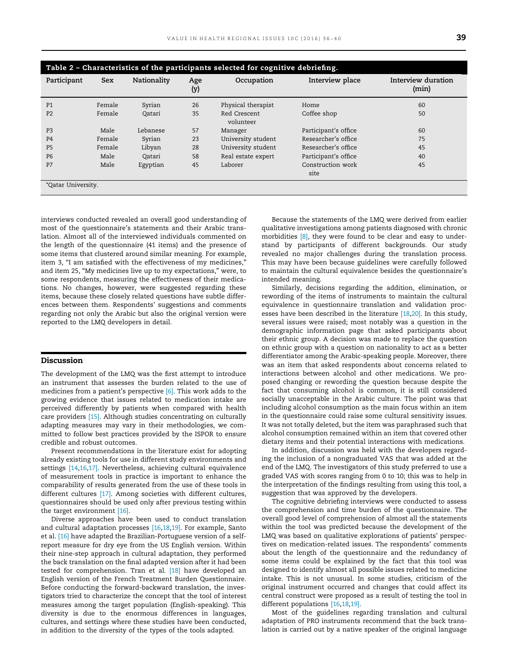| Table 2 - Characteristics of the participants selected for cognitive debriefing. |            |             |            |                           |                           |                             |  |  |
|----------------------------------------------------------------------------------|------------|-------------|------------|---------------------------|---------------------------|-----------------------------|--|--|
| Participant                                                                      | <b>Sex</b> | Nationality | Age<br>(y) | Occupation                | Interview place           | Interview duration<br>(min) |  |  |
| P <sub>1</sub>                                                                   | Female     | Syrian      | 26         | Physical therapist        | Home                      | 60                          |  |  |
| P <sub>2</sub>                                                                   | Female     | Qatari      | 35         | Red Crescent<br>volunteer | Coffee shop               | 50                          |  |  |
| P <sub>3</sub>                                                                   | Male       | Lebanese    | 57         | Manager                   | Participant's office      | 60                          |  |  |
| <b>P4</b>                                                                        | Female     | Syrian      | 23         | University student        | Researcher's office       | 75                          |  |  |
| P <sub>5</sub>                                                                   | Female     | Libyan      | 28         | University student        | Researcher's office       | 45                          |  |  |
| P <sub>6</sub>                                                                   | Male       | Qatari      | 58         | Real estate expert        | Participant's office      | 40                          |  |  |
| P7                                                                               | Male       | Egyptian    | 45         | Laborer                   | Construction work<br>site | 45                          |  |  |
| *Qatar University.                                                               |            |             |            |                           |                           |                             |  |  |

interviews conducted revealed an overall good understanding of most of the questionnaire's statements and their Arabic translation. Almost all of the interviewed individuals commented on the length of the questionnaire (41 items) and the presence of some items that clustered around similar meaning. For example, item 3, "I am satisfied with the effectiveness of my medicines,' and item 25, "My medicines live up to my expectations," were, to some respondents, measuring the effectiveness of their medications. No changes, however, were suggested regarding these items, because these closely related questions have subtle differences between them. Respondents' suggestions and comments regarding not only the Arabic but also the original version were reported to the LMQ developers in detail.

# Discussion

The development of the LMQ was the first attempt to introduce an instrument that assesses the burden related to the use of medicines from a patient's perspective [6]. This work adds to the growing evidence that issues related to medication intake are perceived differently by patients when compared with health care providers [15]. Although studies concentrating on culturally adapting measures may vary in their methodologies, we committed to follow best practices provided by the ISPOR to ensure credible and robust outcomes.

Present recommendations in the literature exist for adopting already existing tools for use in different study environments and settings [14,16,17]. Nevertheless, achieving cultural equivalence of measurement tools in practice is important to enhance the comparability of results generated from the use of these tools in different cultures [17]. Among societies with different cultures, questionnaires should be used only after previous testing within the target environment [16].

Diverse approaches have been used to conduct translation and cultural adaptation processes [16,18,19]. For example, Santo et al. [16] have adapted the Brazilian-Portuguese version of a selfreport measure for dry eye from the US English version. Within their nine-step approach in cultural adaptation, they performed the back translation on the final adapted version after it had been tested for comprehension. Tran et al. [18] have developed an English version of the French Treatment Burden Questionnaire. Before conducting the forward-backward translation, the investigators tried to characterize the concept that the tool of interest measures among the target population (English-speaking). This diversity is due to the enormous differences in languages, cultures, and settings where these studies have been conducted, in addition to the diversity of the types of the tools adapted.

Because the statements of the LMQ were derived from earlier qualitative investigations among patients diagnosed with chronic morbidities [8], they were found to be clear and easy to understand by participants of different backgrounds. Our study revealed no major challenges during the translation process. This may have been because guidelines were carefully followed to maintain the cultural equivalence besides the questionnaire's intended meaning.

Similarly, decisions regarding the addition, elimination, or rewording of the items of instruments to maintain the cultural equivalence in questionnaire translation and validation processes have been described in the literature [18,20]. In this study, several issues were raised; most notably was a question in the demographic information page that asked participants about their ethnic group. A decision was made to replace the question on ethnic group with a question on nationality to act as a better differentiator among the Arabic-speaking people. Moreover, there was an item that asked respondents about concerns related to interactions between alcohol and other medications. We proposed changing or rewording the question because despite the fact that consuming alcohol is common, it is still considered socially unacceptable in the Arabic culture. The point was that including alcohol consumption as the main focus within an item in the questionnaire could raise some cultural sensitivity issues. It was not totally deleted, but the item was paraphrased such that alcohol consumption remained within an item that covered other dietary items and their potential interactions with medications.

In addition, discussion was held with the developers regarding the inclusion of a nongraduated VAS that was added at the end of the LMQ. The investigators of this study preferred to use a graded VAS with scores ranging from 0 to 10; this was to help in the interpretation of the findings resulting from using this tool, a suggestion that was approved by the developers.

The cognitive debriefing interviews were conducted to assess the comprehension and time burden of the questionnaire. The overall good level of comprehension of almost all the statements within the tool was predicted because the development of the LMQ was based on qualitative explorations of patients' perspectives on medication-related issues. The respondents' comments about the length of the questionnaire and the redundancy of some items could be explained by the fact that this tool was designed to identify almost all possible issues related to medicine intake. This is not unusual. In some studies, criticism of the original instrument occurred and changes that could affect its central construct were proposed as a result of testing the tool in different populations [16,18,19].

Most of the guidelines regarding translation and cultural adaptation of PRO instruments recommend that the back translation is carried out by a native speaker of the original language